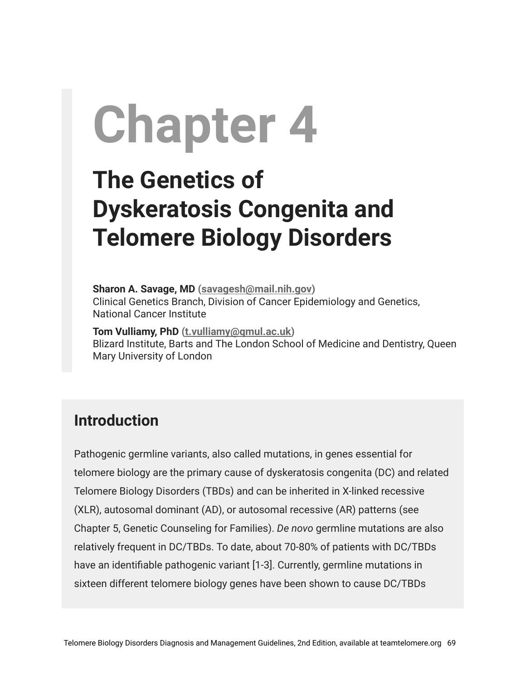# **Chapter 4**

# **The Genetics of Dyskeratosis Congenita and Telomere Biology Disorders**

**Sharon A. Savage, MD ([savagesh@mail.nih.gov\)](mailto:savagesh@mail.nih.gov)** Clinical Genetics Branch, Division of Cancer Epidemiology and Genetics, National Cancer Institute

**Tom Vulliamy, PhD [\(t.vulliamy@qmul.ac.uk\)](mailto:t.vulliamy@qmul.ac.uk)** Blizard Institute, Barts and The London School of Medicine and Dentistry, Queen Mary University of London

#### **Introduction**

Pathogenic germline variants, also called mutations, in genes essential for telomere biology are the primary cause of dyskeratosis congenita (DC) and related Telomere Biology Disorders (TBDs) and can be inherited in X-linked recessive (XLR), autosomal dominant (AD), or autosomal recessive (AR) patterns (see Chapter 5, Genetic Counseling for Families). *De novo* germline mutations are also relatively frequent in DC/TBDs. To date, about 70-80% of patients with DC/TBDs have an identifiable pathogenic variant [1-3]. Currently, germline mutations in sixteen different telomere biology genes have been shown to cause DC/TBDs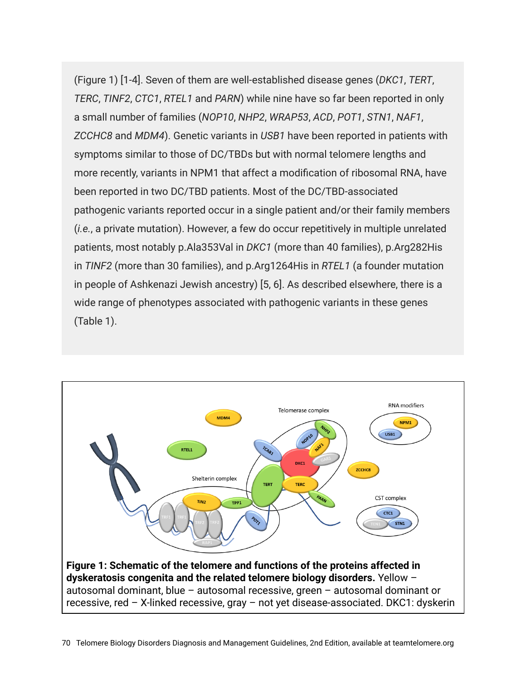(Figure 1) [1-4]. Seven of them are well-established disease genes (*DKC1*, *TERT*, *TERC*, *TINF2*, *CTC1*, *RTEL1* and *PARN*) while nine have so far been reported in only a small number of families (*NOP10*, *NHP2*, *WRAP53*, *ACD*, *POT1*, *STN1*, *NAF1*, *ZCCHC8* and *MDM4*). Genetic variants in *USB1* have been reported in patients with symptoms similar to those of DC/TBDs but with normal telomere lengths and more recently, variants in NPM1 that affect a modification of ribosomal RNA, have been reported in two DC/TBD patients. Most of the DC/TBD-associated pathogenic variants reported occur in a single patient and/or their family members (*i.e.*, a private mutation). However, a few do occur repetitively in multiple unrelated patients, most notably p.Ala353Val in *DKC1* (more than 40 families), p.Arg282His in *TINF2* (more than 30 families), and p.Arg1264His in *RTEL1* (a founder mutation in people of Ashkenazi Jewish ancestry) [5, 6]. As described elsewhere, there is a wide range of phenotypes associated with pathogenic variants in these genes (Table 1).

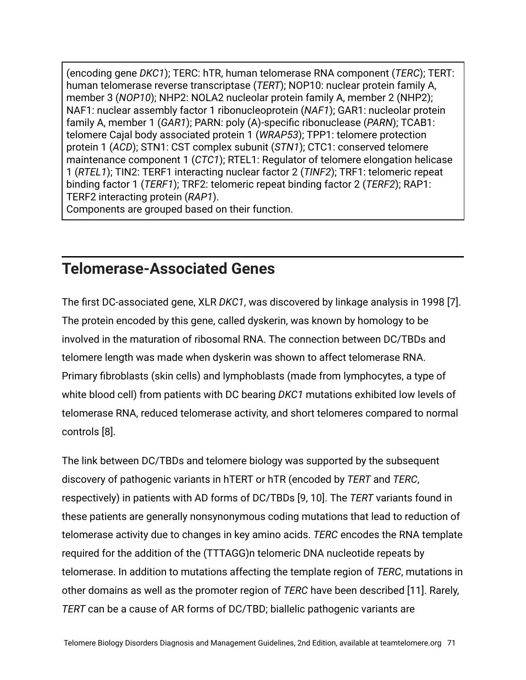(encoding gene *DKC1*); TERC: hTR, human telomerase RNA component (*TERC*); TERT: human telomerase reverse transcriptase (*TERT*); NOP10: nuclear protein family A, member 3 (*NOP10*); NHP2: NOLA2 nucleolar protein family A, member 2 (NHP2); NAF1: nuclear assembly factor 1 ribonucleoprotein (*NAF1*); GAR1: nucleolar protein family A, member 1 (*GAR1*); PARN: poly (A)-specific ribonuclease (*PARN*); TCAB1: telomere Cajal body associated protein 1 (*WRAP53*); TPP1: telomere protection protein 1 (*ACD*); STN1: CST complex subunit (*STN1*); CTC1: conserved telomere maintenance component 1 (*CTC1*); RTEL1: Regulator of telomere elongation helicase 1 (*RTEL1*); TIN2: TERF1 interacting nuclear factor 2 (*TINF2*); TRF1: telomeric repeat binding factor 1 (*TERF1*); TRF2: telomeric repeat binding factor 2 (*TERF2*); RAP1: TERF2 interacting protein (*RAP1*).

Components are grouped based on their function.

#### **Telomerase-Associated Genes**

The first DC-associated gene, XLR *DKC1*, was discovered by linkage analysis in 1998 [7]. The protein encoded by this gene, called dyskerin, was known by homology to be involved in the maturation of ribosomal RNA. The connection between DC/TBDs and telomere length was made when dyskerin was shown to affect telomerase RNA. Primary fibroblasts (skin cells) and lymphoblasts (made from lymphocytes, a type of white blood cell) from patients with DC bearing *DKC1* mutations exhibited low levels of telomerase RNA, reduced telomerase activity, and short telomeres compared to normal controls [8].

The link between DC/TBDs and telomere biology was supported by the subsequent discovery of pathogenic variants in hTERT or hTR (encoded by *TERT* and *TERC*, respectively) in patients with AD forms of DC/TBDs [9, 10]. The *TERT* variants found in these patients are generally nonsynonymous coding mutations that lead to reduction of telomerase activity due to changes in key amino acids. *TERC* encodes the RNA template required for the addition of the (TTTAGG)n telomeric DNA nucleotide repeats by telomerase. In addition to mutations affecting the template region of *TERC*, mutations in other domains as well as the promoter region of *TERC* have been described [11]. Rarely, *TERT* can be a cause of AR forms of DC/TBD; biallelic pathogenic variants are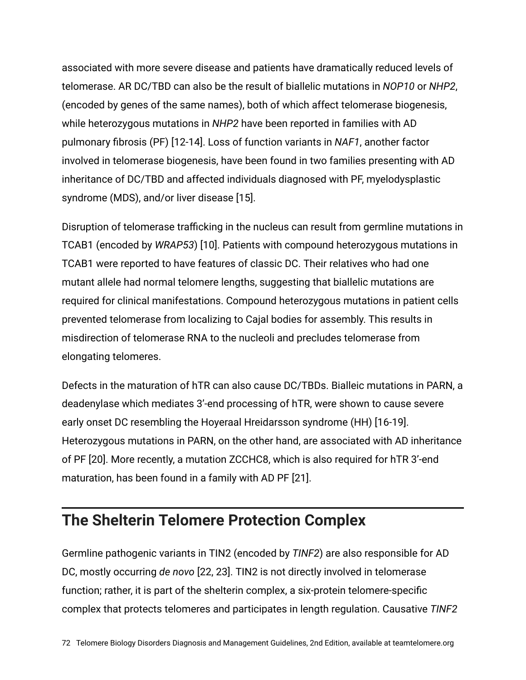associated with more severe disease and patients have dramatically reduced levels of telomerase. AR DC/TBD can also be the result of biallelic mutations in *NOP10* or *NHP2*, (encoded by genes of the same names), both of which affect telomerase biogenesis, while heterozygous mutations in *NHP2* have been reported in families with AD pulmonary fibrosis (PF) [12-14]. Loss of function variants in *NAF1*, another factor involved in telomerase biogenesis, have been found in two families presenting with AD inheritance of DC/TBD and affected individuals diagnosed with PF, myelodysplastic syndrome (MDS), and/or liver disease [15].

Disruption of telomerase trafficking in the nucleus can result from germline mutations in TCAB1 (encoded by *WRAP53*) [10]. Patients with compound heterozygous mutations in TCAB1 were reported to have features of classic DC. Their relatives who had one mutant allele had normal telomere lengths, suggesting that biallelic mutations are required for clinical manifestations. Compound heterozygous mutations in patient cells prevented telomerase from localizing to Cajal bodies for assembly. This results in misdirection of telomerase RNA to the nucleoli and precludes telomerase from elongating telomeres.

Defects in the maturation of hTR can also cause DC/TBDs. Bialleic mutations in PARN, a deadenylase which mediates 3'-end processing of hTR, were shown to cause severe early onset DC resembling the Hoyeraal Hreidarsson syndrome (HH) [16-19]. Heterozygous mutations in PARN, on the other hand, are associated with AD inheritance of PF [20]. More recently, a mutation ZCCHC8, which is also required for hTR 3'-end maturation, has been found in a family with AD PF [21].

#### **The Shelterin Telomere Protection Complex**

Germline pathogenic variants in TIN2 (encoded by *TINF2*) are also responsible for AD DC, mostly occurring *de novo* [22, 23]. TIN2 is not directly involved in telomerase function; rather, it is part of the shelterin complex, a six-protein telomere-specific complex that protects telomeres and participates in length regulation. Causative *TINF2*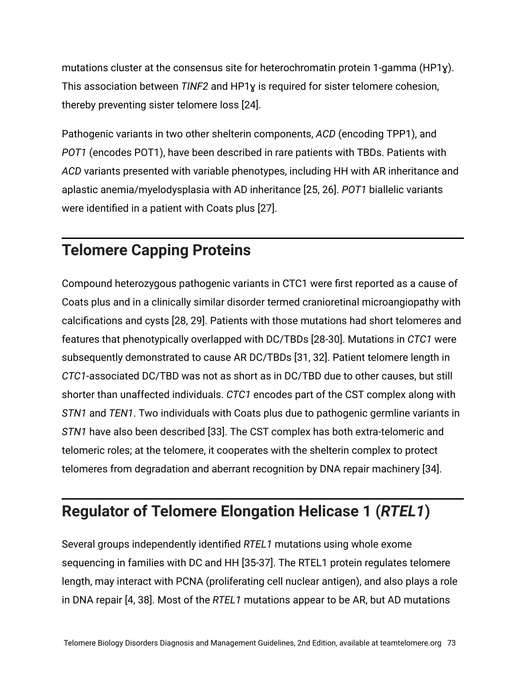mutations cluster at the consensus site for heterochromatin protein 1-gamma (HP1 $\chi$ ). This association between *TINF2* and HP1ɣ is required for sister telomere cohesion, thereby preventing sister telomere loss [24].

Pathogenic variants in two other shelterin components, *ACD* (encoding TPP1), and *POT1* (encodes POT1), have been described in rare patients with TBDs. Patients with *ACD* variants presented with variable phenotypes, including HH with AR inheritance and aplastic anemia/myelodysplasia with AD inheritance [25, 26]. *POT1* biallelic variants were identified in a patient with Coats plus [27].

# **Telomere Capping Proteins**

Compound heterozygous pathogenic variants in CTC1 were first reported as a cause of Coats plus and in a clinically similar disorder termed cranioretinal microangiopathy with calcifications and cysts [28, 29]. Patients with those mutations had short telomeres and features that phenotypically overlapped with DC/TBDs [28-30]. Mutations in *CTC1* were subsequently demonstrated to cause AR DC/TBDs [31, 32]. Patient telomere length in *CTC1*-associated DC/TBD was not as short as in DC/TBD due to other causes, but still shorter than unaffected individuals. *CTC1* encodes part of the CST complex along with *STN1* and *TEN1*. Two individuals with Coats plus due to pathogenic germline variants in *STN1* have also been described [33]. The CST complex has both extra-telomeric and telomeric roles; at the telomere, it cooperates with the shelterin complex to protect telomeres from degradation and aberrant recognition by DNA repair machinery [34].

#### **Regulator of Telomere Elongation Helicase 1 (***RTEL1***)**

Several groups independently identified *RTEL1* mutations using whole exome sequencing in families with DC and HH [35-37]. The RTEL1 protein regulates telomere length, may interact with PCNA (proliferating cell nuclear antigen), and also plays a role in DNA repair [4, 38]. Most of the *RTEL1* mutations appear to be AR, but AD mutations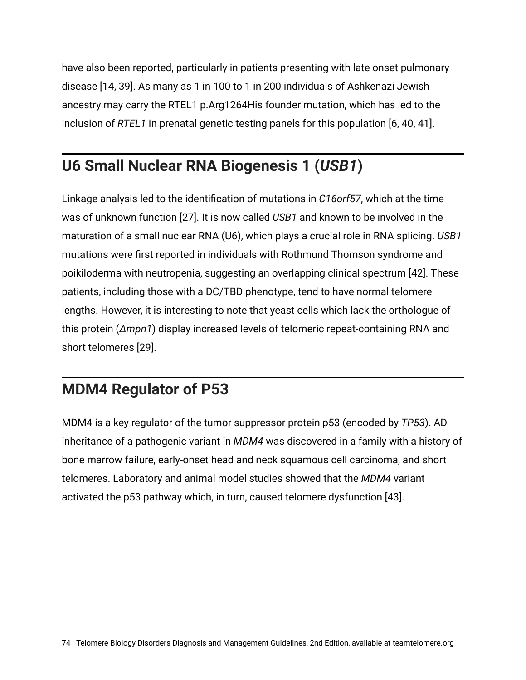have also been reported, particularly in patients presenting with late onset pulmonary disease [14, 39]. As many as 1 in 100 to 1 in 200 individuals of Ashkenazi Jewish ancestry may carry the RTEL1 p.Arg1264His founder mutation, which has led to the inclusion of *RTEL1* in prenatal genetic testing panels for this population [6, 40, 41].

## **U6 Small Nuclear RNA Biogenesis 1 (***USB1***)**

Linkage analysis led to the identification of mutations in *C16orf57*, which at the time was of unknown function [27]. It is now called *USB1* and known to be involved in the maturation of a small nuclear RNA (U6), which plays a crucial role in RNA splicing. *USB1* mutations were first reported in individuals with Rothmund Thomson syndrome and poikiloderma with neutropenia, suggesting an overlapping clinical spectrum [42]. These patients, including those with a DC/TBD phenotype, tend to have normal telomere lengths. However, it is interesting to note that yeast cells which lack the orthologue of this protein (*Δmpn1*) display increased levels of telomeric repeat-containing RNA and short telomeres [29].

## **MDM4 Regulator of P53**

MDM4 is a key regulator of the tumor suppressor protein p53 (encoded by *TP53*). AD inheritance of a pathogenic variant in *MDM4* was discovered in a family with a history of bone marrow failure, early-onset head and neck squamous cell carcinoma, and short telomeres. Laboratory and animal model studies showed that the *MDM4* variant activated the p53 pathway which, in turn, caused telomere dysfunction [43].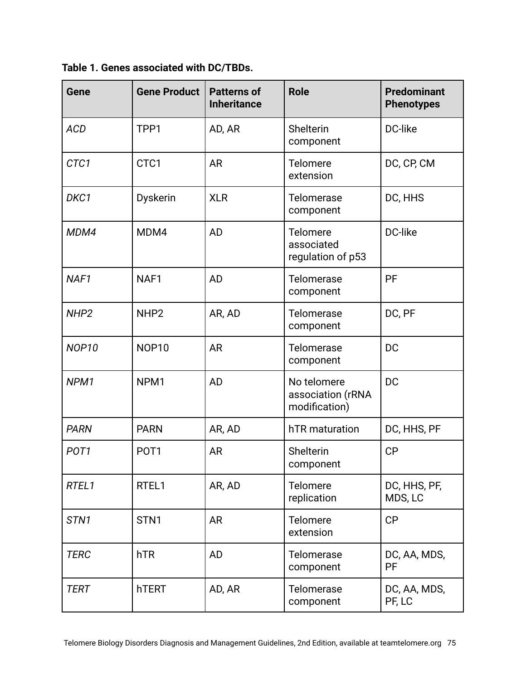**Table 1. Genes associated with DC/TBDs.**

| Gene              | <b>Gene Product</b> | <b>Patterns of</b><br><b>Inheritance</b> | <b>Role</b>                                       | <b>Predominant</b><br><b>Phenotypes</b> |
|-------------------|---------------------|------------------------------------------|---------------------------------------------------|-----------------------------------------|
| <b>ACD</b>        | TPP1                | AD, AR                                   | Shelterin<br>component                            | DC-like                                 |
| CTC1              | CTC1                | <b>AR</b>                                | Telomere<br>extension                             | DC, CP, CM                              |
| DKC1              | <b>Dyskerin</b>     | <b>XLR</b>                               | Telomerase<br>component                           | DC, HHS                                 |
| MDM4              | MDM4                | <b>AD</b>                                | Telomere<br>associated<br>regulation of p53       | DC-like                                 |
| NAF1              | NAF1                | <b>AD</b>                                | Telomerase<br>component                           | PF                                      |
| NHP <sub>2</sub>  | NHP <sub>2</sub>    | AR, AD                                   | Telomerase<br>component                           | DC, PF                                  |
| NOP <sub>10</sub> | <b>NOP10</b>        | <b>AR</b>                                | Telomerase<br>component                           | <b>DC</b>                               |
| NPM1              | NPM <sub>1</sub>    | <b>AD</b>                                | No telomere<br>association (rRNA<br>modification) | <b>DC</b>                               |
| <b>PARN</b>       | <b>PARN</b>         | AR, AD                                   | hTR maturation                                    | DC, HHS, PF                             |
| POT <sub>1</sub>  | POT <sub>1</sub>    | <b>AR</b>                                | Shelterin<br>component                            | CP                                      |
| RTEL1             | RTEL1               | AR, AD                                   | Telomere<br>replication                           | DC, HHS, PF,<br>MDS, LC                 |
| STN <sub>1</sub>  | STN <sub>1</sub>    | <b>AR</b>                                | Telomere<br>extension                             | CP                                      |
| <b>TERC</b>       | hTR                 | AD                                       | Telomerase<br>component                           | DC, AA, MDS,<br><b>PF</b>               |
| <b>TERT</b>       | hTERT               | AD, AR                                   | Telomerase<br>component                           | DC, AA, MDS,<br>PF, LC                  |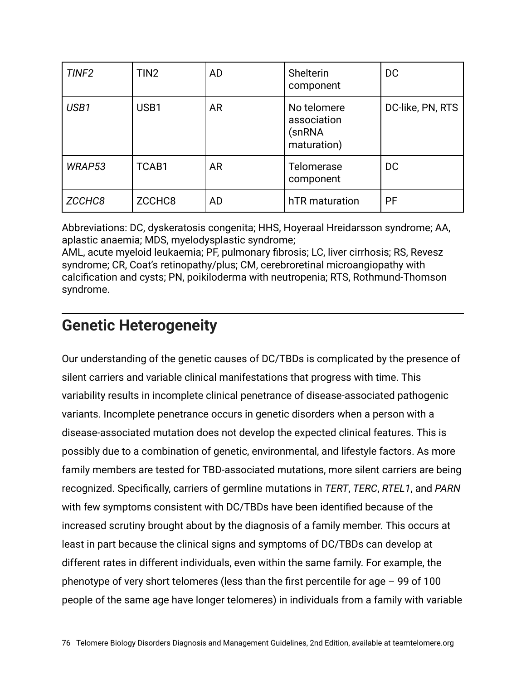| TINF <sub>2</sub> | TIN <sub>2</sub> | <b>AD</b> | <b>Shelterin</b><br>component                       | DC               |
|-------------------|------------------|-----------|-----------------------------------------------------|------------------|
| USB1              | USB1             | <b>AR</b> | No telomere<br>association<br>(snRNA<br>maturation) | DC-like, PN, RTS |
| WRAP53            | TCAB1            | <b>AR</b> | Telomerase<br>component                             | <b>DC</b>        |
| ZCCHC8            | ZCCHC8           | <b>AD</b> | hTR maturation                                      | <b>PF</b>        |

Abbreviations: DC, dyskeratosis congenita; HHS, Hoyeraal Hreidarsson syndrome; AA, aplastic anaemia; MDS, myelodysplastic syndrome;

AML, acute myeloid leukaemia; PF, pulmonary fibrosis; LC, liver cirrhosis; RS, Revesz syndrome; CR, Coat's retinopathy/plus; CM, cerebroretinal microangiopathy with calcification and cysts; PN, poikiloderma with neutropenia; RTS, Rothmund-Thomson syndrome.

#### **Genetic Heterogeneity**

Our understanding of the genetic causes of DC/TBDs is complicated by the presence of silent carriers and variable clinical manifestations that progress with time. This variability results in incomplete clinical penetrance of disease-associated pathogenic variants. Incomplete penetrance occurs in genetic disorders when a person with a disease-associated mutation does not develop the expected clinical features. This is possibly due to a combination of genetic, environmental, and lifestyle factors. As more family members are tested for TBD-associated mutations, more silent carriers are being recognized. Specifically, carriers of germline mutations in *TERT*, *TERC*, *RTEL1*, and *PARN* with few symptoms consistent with DC/TBDs have been identified because of the increased scrutiny brought about by the diagnosis of a family member. This occurs at least in part because the clinical signs and symptoms of DC/TBDs can develop at different rates in different individuals, even within the same family. For example, the phenotype of very short telomeres (less than the first percentile for age – 99 of 100 people of the same age have longer telomeres) in individuals from a family with variable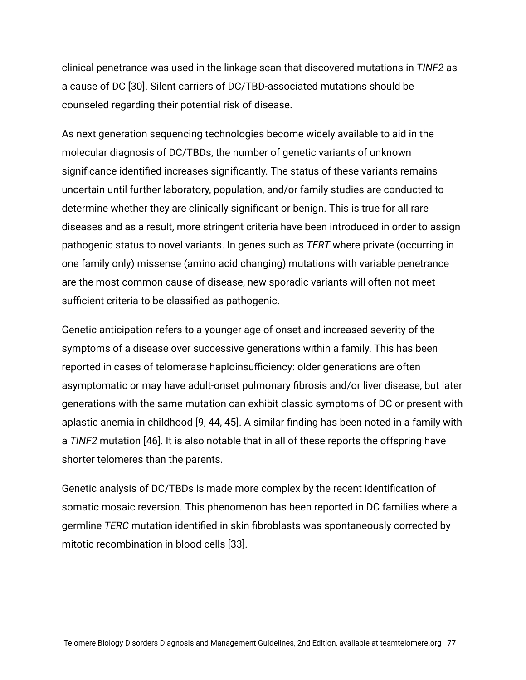clinical penetrance was used in the linkage scan that discovered mutations in *TINF2* as a cause of DC [30]. Silent carriers of DC/TBD-associated mutations should be counseled regarding their potential risk of disease.

As next generation sequencing technologies become widely available to aid in the molecular diagnosis of DC/TBDs, the number of genetic variants of unknown significance identified increases significantly. The status of these variants remains uncertain until further laboratory, population, and/or family studies are conducted to determine whether they are clinically significant or benign. This is true for all rare diseases and as a result, more stringent criteria have been introduced in order to assign pathogenic status to novel variants. In genes such as *TERT* where private (occurring in one family only) missense (amino acid changing) mutations with variable penetrance are the most common cause of disease, new sporadic variants will often not meet sufficient criteria to be classified as pathogenic.

Genetic anticipation refers to a younger age of onset and increased severity of the symptoms of a disease over successive generations within a family. This has been reported in cases of telomerase haploinsufficiency: older generations are often asymptomatic or may have adult-onset pulmonary fibrosis and/or liver disease, but later generations with the same mutation can exhibit classic symptoms of DC or present with aplastic anemia in childhood [9, 44, 45]. A similar finding has been noted in a family with a *TINF2* mutation [46]. It is also notable that in all of these reports the offspring have shorter telomeres than the parents.

Genetic analysis of DC/TBDs is made more complex by the recent identification of somatic mosaic reversion. This phenomenon has been reported in DC families where a germline *TERC* mutation identified in skin fibroblasts was spontaneously corrected by mitotic recombination in blood cells [33].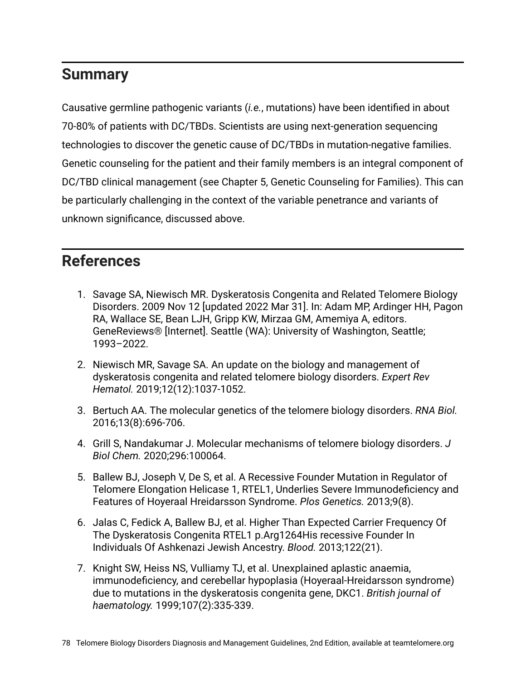#### **Summary**

Causative germline pathogenic variants (*i.e.*, mutations) have been identified in about 70-80% of patients with DC/TBDs. Scientists are using next-generation sequencing technologies to discover the genetic cause of DC/TBDs in mutation-negative families. Genetic counseling for the patient and their family members is an integral component of DC/TBD clinical management (see Chapter 5, Genetic Counseling for Families). This can be particularly challenging in the context of the variable penetrance and variants of unknown significance, discussed above.

#### **References**

- 1. Savage SA, Niewisch MR. Dyskeratosis Congenita and Related Telomere Biology Disorders. 2009 Nov 12 [updated 2022 Mar 31]. In: Adam MP, Ardinger HH, Pagon RA, Wallace SE, Bean LJH, Gripp KW, Mirzaa GM, Amemiya A, editors. GeneReviews® [Internet]. Seattle (WA): University of Washington, Seattle; 1993–2022.
- 2. Niewisch MR, Savage SA. An update on the biology and management of dyskeratosis congenita and related telomere biology disorders. *Expert Rev Hematol.* 2019;12(12):1037-1052.
- 3. Bertuch AA. The molecular genetics of the telomere biology disorders. *RNA Biol.* 2016;13(8):696-706.
- 4. Grill S, Nandakumar J. Molecular mechanisms of telomere biology disorders. *J Biol Chem.* 2020;296:100064.
- 5. Ballew BJ, Joseph V, De S, et al. A Recessive Founder Mutation in Regulator of Telomere Elongation Helicase 1, RTEL1, Underlies Severe Immunodeficiency and Features of Hoyeraal Hreidarsson Syndrome. *Plos Genetics.* 2013;9(8).
- 6. Jalas C, Fedick A, Ballew BJ, et al. Higher Than Expected Carrier Frequency Of The Dyskeratosis Congenita RTEL1 p.Arg1264His recessive Founder In Individuals Of Ashkenazi Jewish Ancestry. *Blood.* 2013;122(21).
- 7. Knight SW, Heiss NS, Vulliamy TJ, et al. Unexplained aplastic anaemia, immunodeficiency, and cerebellar hypoplasia (Hoyeraal-Hreidarsson syndrome) due to mutations in the dyskeratosis congenita gene, DKC1. *British journal of haematology.* 1999;107(2):335-339.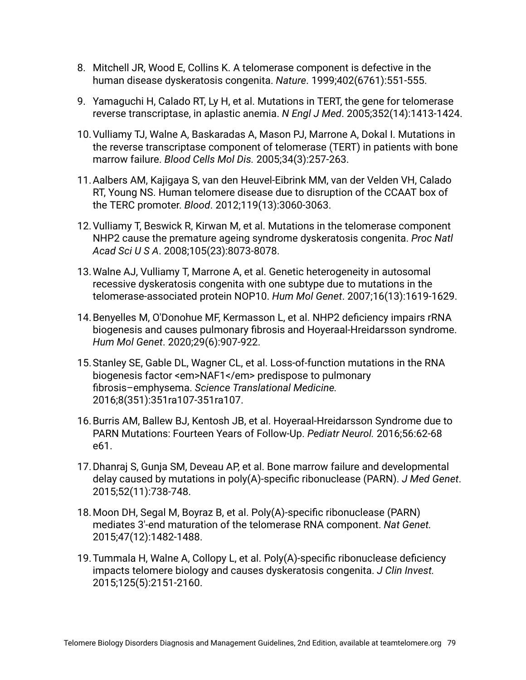- 8. Mitchell JR, Wood E, Collins K. A telomerase component is defective in the human disease dyskeratosis congenita. *Nature*. 1999;402(6761):551-555.
- 9. Yamaguchi H, Calado RT, Ly H, et al. Mutations in TERT, the gene for telomerase reverse transcriptase, in aplastic anemia. *N Engl J Med*. 2005;352(14):1413-1424.
- 10.Vulliamy TJ, Walne A, Baskaradas A, Mason PJ, Marrone A, Dokal I. Mutations in the reverse transcriptase component of telomerase (TERT) in patients with bone marrow failure. *Blood Cells Mol Dis.* 2005;34(3):257-263.
- 11.Aalbers AM, Kajigaya S, van den Heuvel-Eibrink MM, van der Velden VH, Calado RT, Young NS. Human telomere disease due to disruption of the CCAAT box of the TERC promoter. *Blood*. 2012;119(13):3060-3063.
- 12.Vulliamy T, Beswick R, Kirwan M, et al. Mutations in the telomerase component NHP2 cause the premature ageing syndrome dyskeratosis congenita. *Proc Natl Acad Sci U S A*. 2008;105(23):8073-8078.
- 13.Walne AJ, Vulliamy T, Marrone A, et al. Genetic heterogeneity in autosomal recessive dyskeratosis congenita with one subtype due to mutations in the telomerase-associated protein NOP10. *Hum Mol Genet*. 2007;16(13):1619-1629.
- 14.Benyelles M, O'Donohue MF, Kermasson L, et al. NHP2 deficiency impairs rRNA biogenesis and causes pulmonary fibrosis and Hoyeraal-Hreidarsson syndrome. *Hum Mol Genet*. 2020;29(6):907-922.
- 15.Stanley SE, Gable DL, Wagner CL, et al. Loss-of-function mutations in the RNA biogenesis factor <em>NAF1</em> predispose to pulmonary fibrosis–emphysema. *Science Translational Medicine.* 2016;8(351):351ra107-351ra107.
- 16.Burris AM, Ballew BJ, Kentosh JB, et al. Hoyeraal-Hreidarsson Syndrome due to PARN Mutations: Fourteen Years of Follow-Up. *Pediatr Neurol.* 2016;56:62-68 e61.
- 17.Dhanraj S, Gunja SM, Deveau AP, et al. Bone marrow failure and developmental delay caused by mutations in poly(A)-specific ribonuclease (PARN). *J Med Genet*. 2015;52(11):738-748.
- 18.Moon DH, Segal M, Boyraz B, et al. Poly(A)-specific ribonuclease (PARN) mediates 3'-end maturation of the telomerase RNA component. *Nat Genet.* 2015;47(12):1482-1488.
- 19.Tummala H, Walne A, Collopy L, et al. Poly(A)-specific ribonuclease deficiency impacts telomere biology and causes dyskeratosis congenita. *J Clin Invest.* 2015;125(5):2151-2160.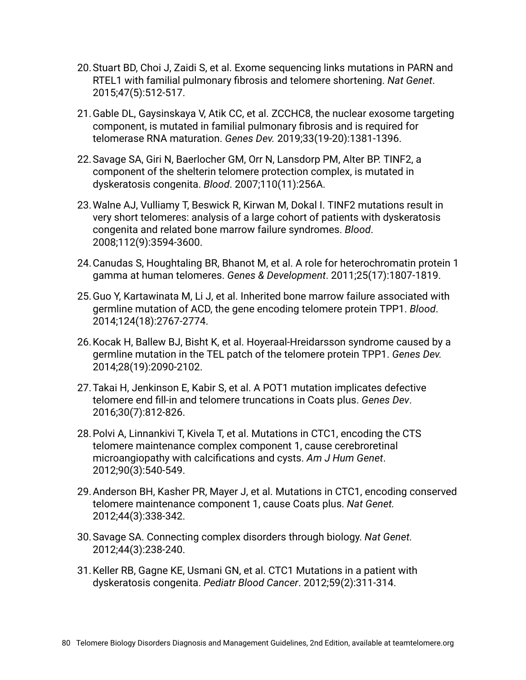- 20.Stuart BD, Choi J, Zaidi S, et al. Exome sequencing links mutations in PARN and RTEL1 with familial pulmonary fibrosis and telomere shortening. *Nat Genet*. 2015;47(5):512-517.
- 21.Gable DL, Gaysinskaya V, Atik CC, et al. ZCCHC8, the nuclear exosome targeting component, is mutated in familial pulmonary fibrosis and is required for telomerase RNA maturation. *Genes Dev.* 2019;33(19-20):1381-1396.
- 22.Savage SA, Giri N, Baerlocher GM, Orr N, Lansdorp PM, Alter BP. TINF2, a component of the shelterin telomere protection complex, is mutated in dyskeratosis congenita. *Blood*. 2007;110(11):256A.
- 23.Walne AJ, Vulliamy T, Beswick R, Kirwan M, Dokal I. TINF2 mutations result in very short telomeres: analysis of a large cohort of patients with dyskeratosis congenita and related bone marrow failure syndromes. *Blood*. 2008;112(9):3594-3600.
- 24.Canudas S, Houghtaling BR, Bhanot M, et al. A role for heterochromatin protein 1 gamma at human telomeres. *Genes & Development*. 2011;25(17):1807-1819.
- 25.Guo Y, Kartawinata M, Li J, et al. Inherited bone marrow failure associated with germline mutation of ACD, the gene encoding telomere protein TPP1. *Blood*. 2014;124(18):2767-2774.
- 26.Kocak H, Ballew BJ, Bisht K, et al. Hoyeraal-Hreidarsson syndrome caused by a germline mutation in the TEL patch of the telomere protein TPP1. *Genes Dev.* 2014;28(19):2090-2102.
- 27.Takai H, Jenkinson E, Kabir S, et al. A POT1 mutation implicates defective telomere end fill-in and telomere truncations in Coats plus. *Genes Dev*. 2016;30(7):812-826.
- 28.Polvi A, Linnankivi T, Kivela T, et al. Mutations in CTC1, encoding the CTS telomere maintenance complex component 1, cause cerebroretinal microangiopathy with calcifications and cysts. *Am J Hum Genet*. 2012;90(3):540-549.
- 29.Anderson BH, Kasher PR, Mayer J, et al. Mutations in CTC1, encoding conserved telomere maintenance component 1, cause Coats plus. *Nat Genet.* 2012;44(3):338-342.
- 30.Savage SA. Connecting complex disorders through biology. *Nat Genet.* 2012;44(3):238-240.
- 31.Keller RB, Gagne KE, Usmani GN, et al. CTC1 Mutations in a patient with dyskeratosis congenita. *Pediatr Blood Cancer*. 2012;59(2):311-314.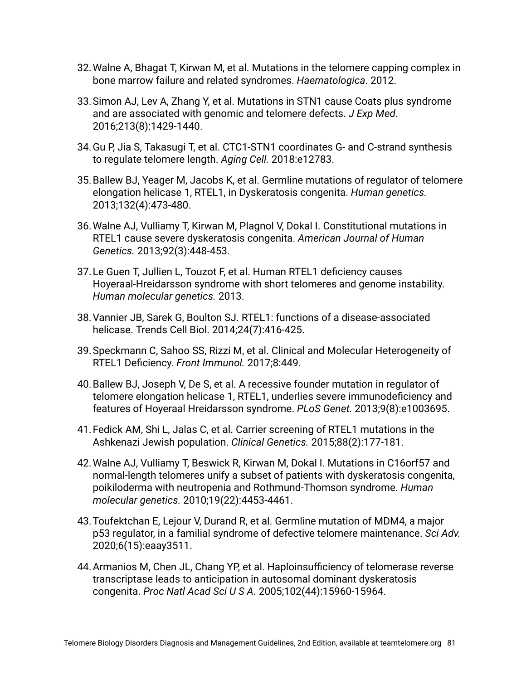- 32.Walne A, Bhagat T, Kirwan M, et al. Mutations in the telomere capping complex in bone marrow failure and related syndromes. *Haematologica*. 2012.
- 33.Simon AJ, Lev A, Zhang Y, et al. Mutations in STN1 cause Coats plus syndrome and are associated with genomic and telomere defects. *J Exp Med*. 2016;213(8):1429-1440.
- 34.Gu P, Jia S, Takasugi T, et al. CTC1-STN1 coordinates G- and C-strand synthesis to regulate telomere length. *Aging Cell.* 2018:e12783.
- 35.Ballew BJ, Yeager M, Jacobs K, et al. Germline mutations of regulator of telomere elongation helicase 1, RTEL1, in Dyskeratosis congenita. *Human genetics.* 2013;132(4):473-480.
- 36.Walne AJ, Vulliamy T, Kirwan M, Plagnol V, Dokal I. Constitutional mutations in RTEL1 cause severe dyskeratosis congenita. *American Journal of Human Genetics.* 2013;92(3):448-453.
- 37.Le Guen T, Jullien L, Touzot F, et al. Human RTEL1 deficiency causes Hoyeraal-Hreidarsson syndrome with short telomeres and genome instability. *Human molecular genetics.* 2013.
- 38.Vannier JB, Sarek G, Boulton SJ. RTEL1: functions of a disease-associated helicase. Trends Cell Biol. 2014;24(7):416-425.
- 39.Speckmann C, Sahoo SS, Rizzi M, et al. Clinical and Molecular Heterogeneity of RTEL1 Deficiency. *Front Immunol.* 2017;8:449.
- 40.Ballew BJ, Joseph V, De S, et al. A recessive founder mutation in regulator of telomere elongation helicase 1, RTEL1, underlies severe immunodeficiency and features of Hoyeraal Hreidarsson syndrome. *PLoS Genet.* 2013;9(8):e1003695.
- 41.Fedick AM, Shi L, Jalas C, et al. Carrier screening of RTEL1 mutations in the Ashkenazi Jewish population. *Clinical Genetics.* 2015;88(2):177-181.
- 42.Walne AJ, Vulliamy T, Beswick R, Kirwan M, Dokal I. Mutations in C16orf57 and normal-length telomeres unify a subset of patients with dyskeratosis congenita, poikiloderma with neutropenia and Rothmund-Thomson syndrome. *Human molecular genetics.* 2010;19(22):4453-4461.
- 43.Toufektchan E, Lejour V, Durand R, et al. Germline mutation of MDM4, a major p53 regulator, in a familial syndrome of defective telomere maintenance. *Sci Adv.* 2020;6(15):eaay3511.
- 44.Armanios M, Chen JL, Chang YP, et al. Haploinsufficiency of telomerase reverse transcriptase leads to anticipation in autosomal dominant dyskeratosis congenita. *Proc Natl Acad Sci U S A*. 2005;102(44):15960-15964.